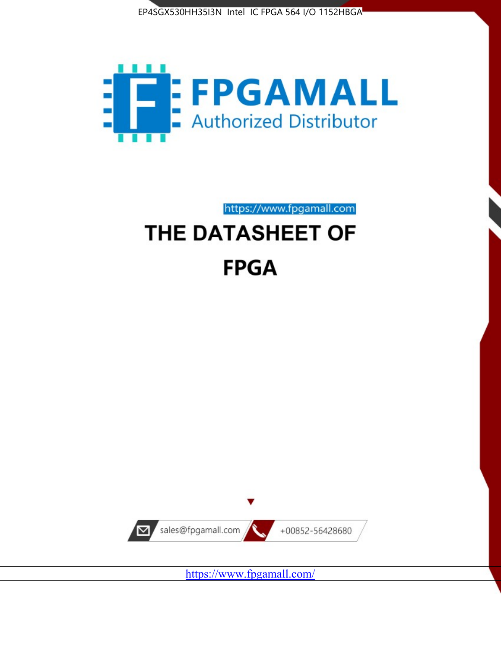



https://www.fpgamall.com

# THE DATASHEET OF **FPGA**



<https://www.fpgamall.com/>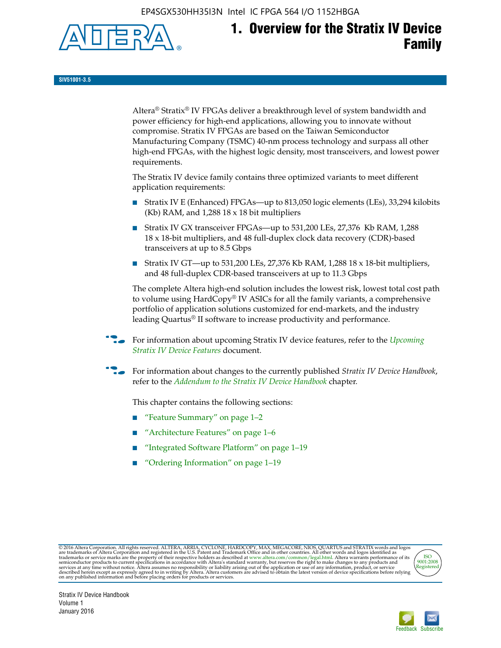EP4SGX530HH35I3N Intel IC FPGA 564 I/O 1152HBGA



# **1. Overview for the Stratix IV Device Family**

**SIV51001-3.5**

Altera® Stratix® IV FPGAs deliver a breakthrough level of system bandwidth and power efficiency for high-end applications, allowing you to innovate without compromise. Stratix IV FPGAs are based on the Taiwan Semiconductor Manufacturing Company (TSMC) 40-nm process technology and surpass all other high-end FPGAs, with the highest logic density, most transceivers, and lowest power requirements.

The Stratix IV device family contains three optimized variants to meet different application requirements:

- Stratix IV E (Enhanced) FPGAs—up to 813,050 logic elements (LEs), 33,294 kilobits (Kb) RAM, and 1,288 18 x 18 bit multipliers
- Stratix IV GX transceiver FPGAs—up to 531,200 LEs, 27,376 Kb RAM, 1,288 18 x 18-bit multipliers, and 48 full-duplex clock data recovery (CDR)-based transceivers at up to 8.5 Gbps
- Stratix IV GT—up to 531,200 LEs, 27,376 Kb RAM, 1,288 18 x 18-bit multipliers, and 48 full-duplex CDR-based transceivers at up to 11.3 Gbps

The complete Altera high-end solution includes the lowest risk, lowest total cost path to volume using HardCopy® IV ASICs for all the family variants, a comprehensive portfolio of application solutions customized for end-markets, and the industry leading Quartus® II software to increase productivity and performance.

For information about upcoming Stratix IV device features, refer to the *Upcoming [Stratix IV Device Features](http://www.altera.com/literature/hb/stratix-iv/uf01001.pdf?GSA_pos=2&WT.oss_r=1&WT.oss=upcoming)* document.

f For information about changes to the currently published *Stratix IV Device Handbook*, refer to the *[Addendum to the Stratix IV Device Handbook](http://www.altera.com/literature/hb/stratix-iv/stx4_siv54002.pdf)* chapter.

This chapter contains the following sections:

- "Feature Summary" on page 1–2
- "Architecture Features" on page 1–6
- "Integrated Software Platform" on page 1–19
- "Ordering Information" on page 1–19

@2016 Altera Corporation. All rights reserved. ALTERA, ARRIA, CYCLONE, HARDCOPY, MAX, MEGACORE, NIOS, QUARTUS and STRATIX words and logos are trademarks of Altera Corporation and registered in the U.S. Patent and Trademark



Stratix IV Device Handbook Volume 1 January 2016

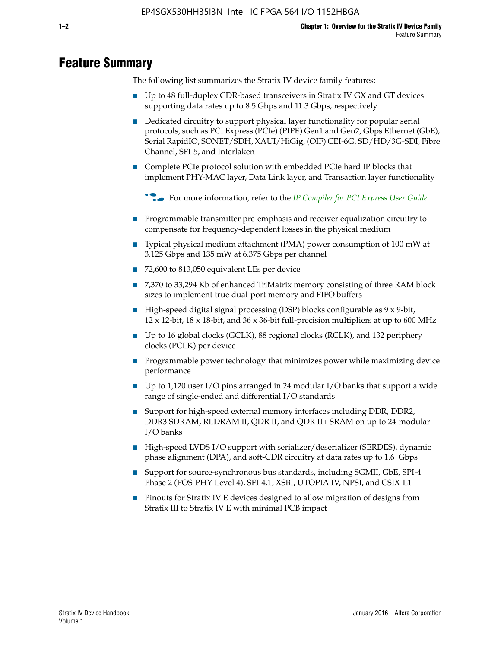# **Feature Summary**

The following list summarizes the Stratix IV device family features:

- Up to 48 full-duplex CDR-based transceivers in Stratix IV GX and GT devices supporting data rates up to 8.5 Gbps and 11.3 Gbps, respectively
- Dedicated circuitry to support physical layer functionality for popular serial protocols, such as PCI Express (PCIe) (PIPE) Gen1 and Gen2, Gbps Ethernet (GbE), Serial RapidIO, SONET/SDH, XAUI/HiGig, (OIF) CEI-6G, SD/HD/3G-SDI, Fibre Channel, SFI-5, and Interlaken
- Complete PCIe protocol solution with embedded PCIe hard IP blocks that implement PHY-MAC layer, Data Link layer, and Transaction layer functionality

**For more information, refer to the** *[IP Compiler for PCI Express User Guide](http://www.altera.com/literature/ug/ug_pci_express.pdf)***.** 

- Programmable transmitter pre-emphasis and receiver equalization circuitry to compensate for frequency-dependent losses in the physical medium
- Typical physical medium attachment (PMA) power consumption of 100 mW at 3.125 Gbps and 135 mW at 6.375 Gbps per channel
- 72,600 to 813,050 equivalent LEs per device
- 7,370 to 33,294 Kb of enhanced TriMatrix memory consisting of three RAM block sizes to implement true dual-port memory and FIFO buffers
- High-speed digital signal processing (DSP) blocks configurable as 9 x 9-bit,  $12 \times 12$ -bit,  $18 \times 18$ -bit, and  $36 \times 36$ -bit full-precision multipliers at up to 600 MHz
- Up to 16 global clocks (GCLK), 88 regional clocks (RCLK), and 132 periphery clocks (PCLK) per device
- Programmable power technology that minimizes power while maximizing device performance
- Up to 1,120 user I/O pins arranged in 24 modular I/O banks that support a wide range of single-ended and differential I/O standards
- Support for high-speed external memory interfaces including DDR, DDR2, DDR3 SDRAM, RLDRAM II, QDR II, and QDR II+ SRAM on up to 24 modular I/O banks
- High-speed LVDS I/O support with serializer/deserializer (SERDES), dynamic phase alignment (DPA), and soft-CDR circuitry at data rates up to 1.6 Gbps
- Support for source-synchronous bus standards, including SGMII, GbE, SPI-4 Phase 2 (POS-PHY Level 4), SFI-4.1, XSBI, UTOPIA IV, NPSI, and CSIX-L1
- Pinouts for Stratix IV E devices designed to allow migration of designs from Stratix III to Stratix IV E with minimal PCB impact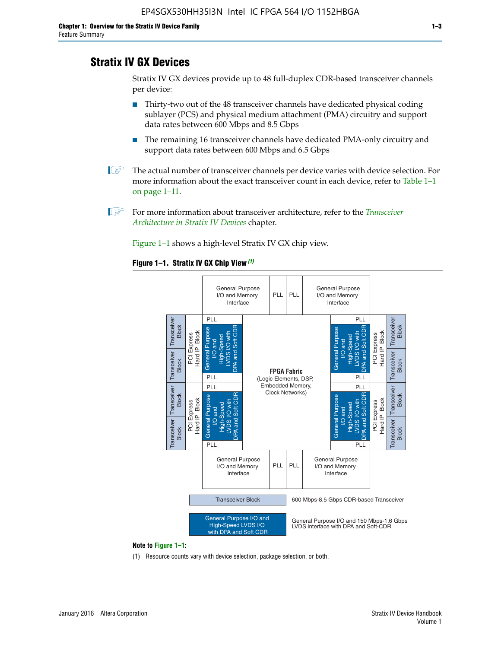# **Stratix IV GX Devices**

Stratix IV GX devices provide up to 48 full-duplex CDR-based transceiver channels per device:

- Thirty-two out of the 48 transceiver channels have dedicated physical coding sublayer (PCS) and physical medium attachment (PMA) circuitry and support data rates between 600 Mbps and 8.5 Gbps
- The remaining 16 transceiver channels have dedicated PMA-only circuitry and support data rates between 600 Mbps and 6.5 Gbps
- **1 The actual number of transceiver channels per device varies with device selection. For** more information about the exact transceiver count in each device, refer to Table 1–1 on page 1–11.
- 1 For more information about transceiver architecture, refer to the *[Transceiver](http://www.altera.com/literature/hb/stratix-iv/stx4_siv52001.pdf)  [Architecture in Stratix IV Devices](http://www.altera.com/literature/hb/stratix-iv/stx4_siv52001.pdf)* chapter.

Figure 1–1 shows a high-level Stratix IV GX chip view.

#### **Figure 1–1. Stratix IV GX Chip View** *(1)*



#### **Note to Figure 1–1:**

(1) Resource counts vary with device selection, package selection, or both.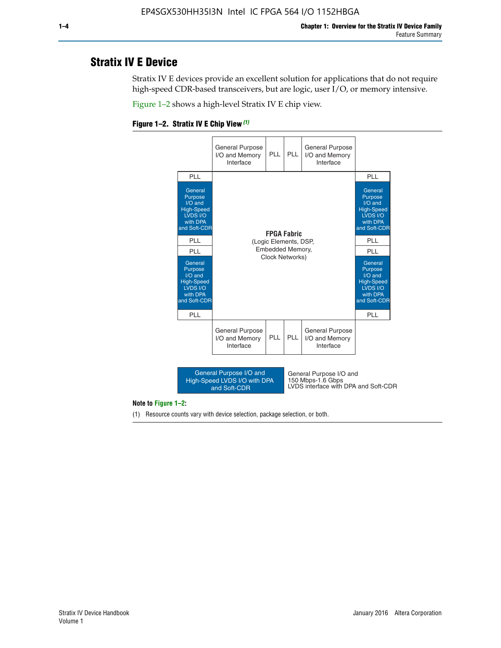# **Stratix IV E Device**

Stratix IV E devices provide an excellent solution for applications that do not require high-speed CDR-based transceivers, but are logic, user I/O, or memory intensive.

Figure 1–2 shows a high-level Stratix IV E chip view.





#### **Note to Figure 1–2:**

(1) Resource counts vary with device selection, package selection, or both.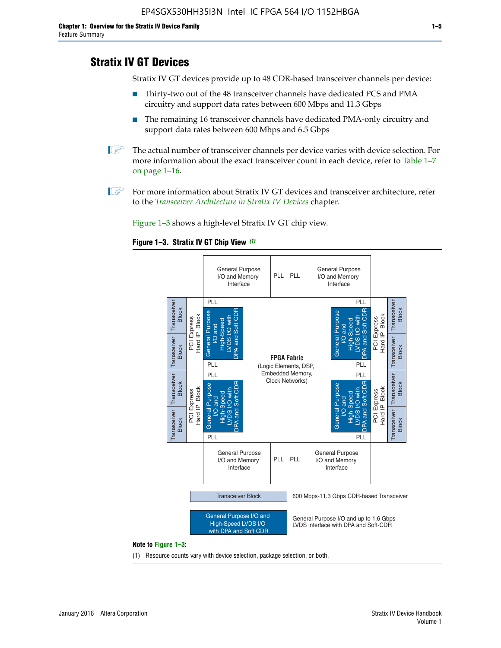# **Stratix IV GT Devices**

Stratix IV GT devices provide up to 48 CDR-based transceiver channels per device:

- Thirty-two out of the 48 transceiver channels have dedicated PCS and PMA circuitry and support data rates between 600 Mbps and 11.3 Gbps
- The remaining 16 transceiver channels have dedicated PMA-only circuitry and support data rates between 600 Mbps and 6.5 Gbps
- **1** The actual number of transceiver channels per device varies with device selection. For more information about the exact transceiver count in each device, refer to Table 1–7 on page 1–16.
- $\mathbb{I}$  For more information about Stratix IV GT devices and transceiver architecture, refer to the *[Transceiver Architecture in Stratix IV Devices](http://www.altera.com/literature/hb/stratix-iv/stx4_siv52001.pdf)* chapter.

Figure 1–3 shows a high-level Stratix IV GT chip view.

#### **Figure 1–3. Stratix IV GT Chip View** *(1)*



(1) Resource counts vary with device selection, package selection, or both.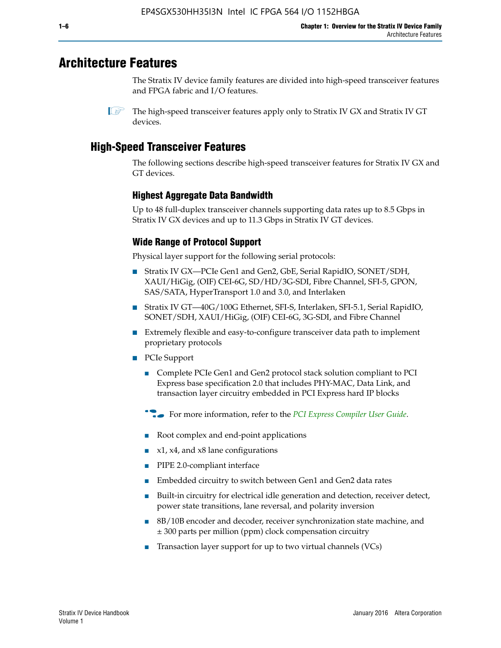# **Architecture Features**

The Stratix IV device family features are divided into high-speed transceiver features and FPGA fabric and I/O features.

# **High-Speed Transceiver Features**

The following sections describe high-speed transceiver features for Stratix IV GX and GT devices.

### **Highest Aggregate Data Bandwidth**

Up to 48 full-duplex transceiver channels supporting data rates up to 8.5 Gbps in Stratix IV GX devices and up to 11.3 Gbps in Stratix IV GT devices.

### **Wide Range of Protocol Support**

Physical layer support for the following serial protocols:

- Stratix IV GX—PCIe Gen1 and Gen2, GbE, Serial RapidIO, SONET/SDH, XAUI/HiGig, (OIF) CEI-6G, SD/HD/3G-SDI, Fibre Channel, SFI-5, GPON, SAS/SATA, HyperTransport 1.0 and 3.0, and Interlaken
- Stratix IV GT—40G/100G Ethernet, SFI-S, Interlaken, SFI-5.1, Serial RapidIO, SONET/SDH, XAUI/HiGig, (OIF) CEI-6G, 3G-SDI, and Fibre Channel
- Extremely flexible and easy-to-configure transceiver data path to implement proprietary protocols
- PCIe Support
	- Complete PCIe Gen1 and Gen2 protocol stack solution compliant to PCI Express base specification 2.0 that includes PHY-MAC, Data Link, and transaction layer circuitry embedded in PCI Express hard IP blocks
	- **For more information, refer to the [PCI Express Compiler User Guide](http://www.altera.com/literature/ug/ug_pci_express.pdf).**
	- Root complex and end-point applications
	- $x1, x4,$  and  $x8$  lane configurations
	- PIPE 2.0-compliant interface
	- Embedded circuitry to switch between Gen1 and Gen2 data rates
	- Built-in circuitry for electrical idle generation and detection, receiver detect, power state transitions, lane reversal, and polarity inversion
	- 8B/10B encoder and decoder, receiver synchronization state machine, and ± 300 parts per million (ppm) clock compensation circuitry
	- Transaction layer support for up to two virtual channels (VCs)

 $\mathbb{I}$  The high-speed transceiver features apply only to Stratix IV GX and Stratix IV GT devices.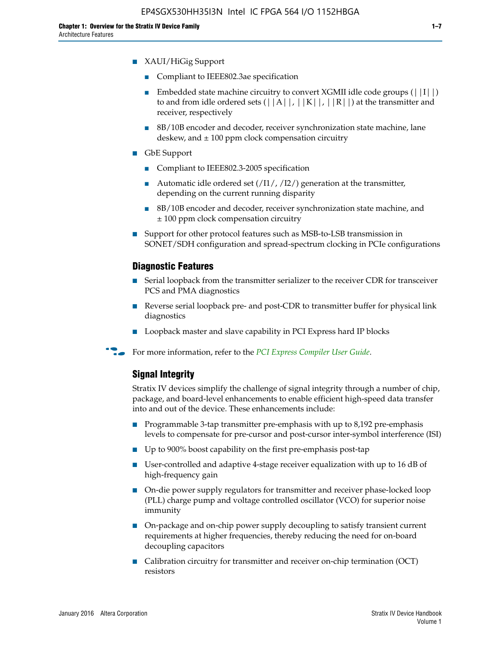- XAUI/HiGig Support
	- Compliant to IEEE802.3ae specification
	- **■** Embedded state machine circuitry to convert XGMII idle code groups  $(|11|)$ to and from idle ordered sets  $(|A|, |K|, |R|)$  at the transmitter and receiver, respectively
	- 8B/10B encoder and decoder, receiver synchronization state machine, lane deskew, and  $\pm 100$  ppm clock compensation circuitry
- GbE Support
	- Compliant to IEEE802.3-2005 specification
	- Automatic idle ordered set  $(111/112/1)$  generation at the transmitter, depending on the current running disparity
	- 8B/10B encoder and decoder, receiver synchronization state machine, and ± 100 ppm clock compensation circuitry
- Support for other protocol features such as MSB-to-LSB transmission in SONET/SDH configuration and spread-spectrum clocking in PCIe configurations

#### **Diagnostic Features**

- Serial loopback from the transmitter serializer to the receiver CDR for transceiver PCS and PMA diagnostics
- Reverse serial loopback pre- and post-CDR to transmitter buffer for physical link diagnostics
- Loopback master and slave capability in PCI Express hard IP blocks
- **For more information, refer to the** *[PCI Express Compiler User Guide](http://www.altera.com/literature/ug/ug_pci_express.pdf)***.**

#### **Signal Integrity**

Stratix IV devices simplify the challenge of signal integrity through a number of chip, package, and board-level enhancements to enable efficient high-speed data transfer into and out of the device. These enhancements include:

- Programmable 3-tap transmitter pre-emphasis with up to 8,192 pre-emphasis levels to compensate for pre-cursor and post-cursor inter-symbol interference (ISI)
- Up to 900% boost capability on the first pre-emphasis post-tap
- User-controlled and adaptive 4-stage receiver equalization with up to 16 dB of high-frequency gain
- On-die power supply regulators for transmitter and receiver phase-locked loop (PLL) charge pump and voltage controlled oscillator (VCO) for superior noise immunity
- On-package and on-chip power supply decoupling to satisfy transient current requirements at higher frequencies, thereby reducing the need for on-board decoupling capacitors
- Calibration circuitry for transmitter and receiver on-chip termination (OCT) resistors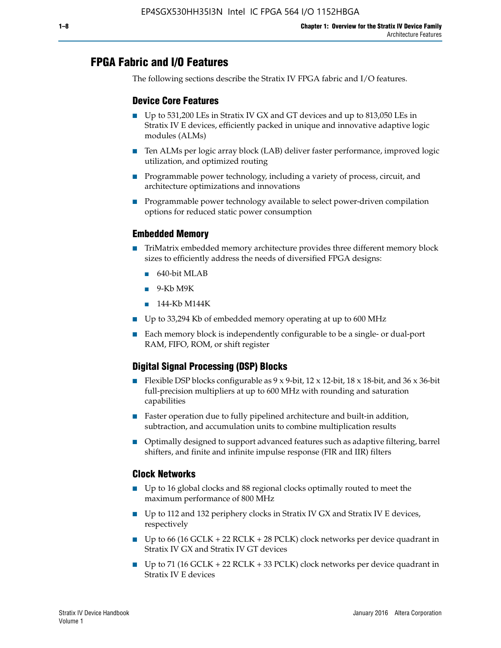# **FPGA Fabric and I/O Features**

The following sections describe the Stratix IV FPGA fabric and I/O features.

### **Device Core Features**

- Up to 531,200 LEs in Stratix IV GX and GT devices and up to 813,050 LEs in Stratix IV E devices, efficiently packed in unique and innovative adaptive logic modules (ALMs)
- Ten ALMs per logic array block (LAB) deliver faster performance, improved logic utilization, and optimized routing
- Programmable power technology, including a variety of process, circuit, and architecture optimizations and innovations
- Programmable power technology available to select power-driven compilation options for reduced static power consumption

#### **Embedded Memory**

- TriMatrix embedded memory architecture provides three different memory block sizes to efficiently address the needs of diversified FPGA designs:
	- 640-bit MLAB
	- 9-Kb M9K
	- 144-Kb M144K
- Up to 33,294 Kb of embedded memory operating at up to 600 MHz
- Each memory block is independently configurable to be a single- or dual-port RAM, FIFO, ROM, or shift register

### **Digital Signal Processing (DSP) Blocks**

- Flexible DSP blocks configurable as  $9 \times 9$ -bit,  $12 \times 12$ -bit,  $18 \times 18$ -bit, and  $36 \times 36$ -bit full-precision multipliers at up to 600 MHz with rounding and saturation capabilities
- Faster operation due to fully pipelined architecture and built-in addition, subtraction, and accumulation units to combine multiplication results
- Optimally designed to support advanced features such as adaptive filtering, barrel shifters, and finite and infinite impulse response (FIR and IIR) filters

#### **Clock Networks**

- Up to 16 global clocks and 88 regional clocks optimally routed to meet the maximum performance of 800 MHz
- Up to 112 and 132 periphery clocks in Stratix IV GX and Stratix IV E devices, respectively
- Up to 66 (16 GCLK + 22 RCLK + 28 PCLK) clock networks per device quadrant in Stratix IV GX and Stratix IV GT devices
- Up to 71 (16 GCLK + 22 RCLK + 33 PCLK) clock networks per device quadrant in Stratix IV E devices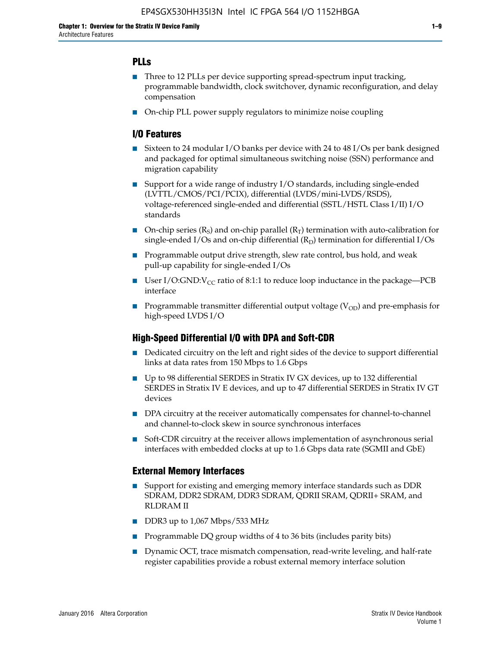### **PLLs**

- Three to 12 PLLs per device supporting spread-spectrum input tracking, programmable bandwidth, clock switchover, dynamic reconfiguration, and delay compensation
- On-chip PLL power supply regulators to minimize noise coupling

### **I/O Features**

- Sixteen to 24 modular I/O banks per device with 24 to 48 I/Os per bank designed and packaged for optimal simultaneous switching noise (SSN) performance and migration capability
- Support for a wide range of industry I/O standards, including single-ended (LVTTL/CMOS/PCI/PCIX), differential (LVDS/mini-LVDS/RSDS), voltage-referenced single-ended and differential (SSTL/HSTL Class I/II) I/O standards
- **O**n-chip series  $(R_S)$  and on-chip parallel  $(R_T)$  termination with auto-calibration for single-ended I/Os and on-chip differential  $(R_D)$  termination for differential I/Os
- Programmable output drive strength, slew rate control, bus hold, and weak pull-up capability for single-ended I/Os
- User I/O:GND: $V_{CC}$  ratio of 8:1:1 to reduce loop inductance in the package—PCB interface
- **■** Programmable transmitter differential output voltage ( $V_{OD}$ ) and pre-emphasis for high-speed LVDS I/O

#### **High-Speed Differential I/O with DPA and Soft-CDR**

- Dedicated circuitry on the left and right sides of the device to support differential links at data rates from 150 Mbps to 1.6 Gbps
- Up to 98 differential SERDES in Stratix IV GX devices, up to 132 differential SERDES in Stratix IV E devices, and up to 47 differential SERDES in Stratix IV GT devices
- DPA circuitry at the receiver automatically compensates for channel-to-channel and channel-to-clock skew in source synchronous interfaces
- Soft-CDR circuitry at the receiver allows implementation of asynchronous serial interfaces with embedded clocks at up to 1.6 Gbps data rate (SGMII and GbE)

#### **External Memory Interfaces**

- Support for existing and emerging memory interface standards such as DDR SDRAM, DDR2 SDRAM, DDR3 SDRAM, QDRII SRAM, QDRII+ SRAM, and RLDRAM II
- DDR3 up to 1,067 Mbps/533 MHz
- Programmable DQ group widths of 4 to 36 bits (includes parity bits)
- Dynamic OCT, trace mismatch compensation, read-write leveling, and half-rate register capabilities provide a robust external memory interface solution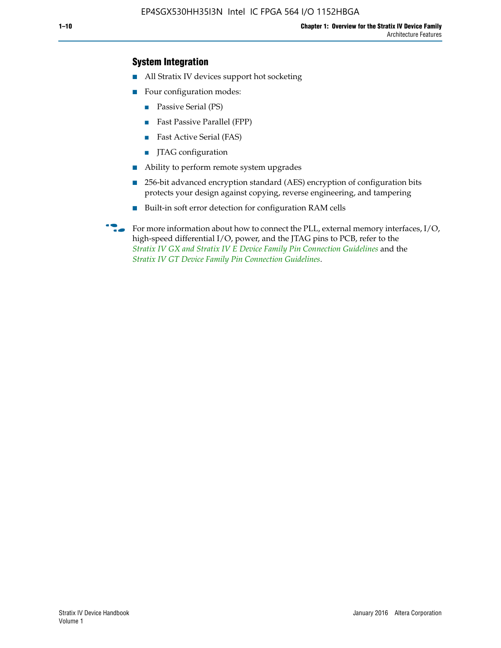### **System Integration**

- All Stratix IV devices support hot socketing
- Four configuration modes:
	- Passive Serial (PS)
	- Fast Passive Parallel (FPP)
	- Fast Active Serial (FAS)
	- JTAG configuration
- Ability to perform remote system upgrades
- 256-bit advanced encryption standard (AES) encryption of configuration bits protects your design against copying, reverse engineering, and tampering
- Built-in soft error detection for configuration RAM cells
- For more information about how to connect the PLL, external memory interfaces,  $I/O$ , high-speed differential I/O, power, and the JTAG pins to PCB, refer to the *[Stratix IV GX and Stratix IV E Device Family Pin Connection Guidelines](http://www.altera.com/literature/dp/stratix4/PCG-01005.pdf)* and the *[Stratix IV GT Device Family Pin Connection Guidelines](http://www.altera.com/literature/dp/stratix4/PCG-01006.pdf)*.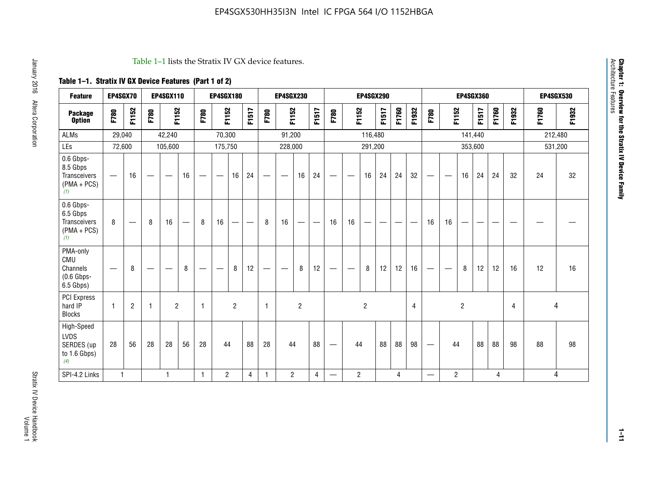#### Table 1–1 lists the Stratix IV GX device features.

## **Table 1–1. Stratix IV GX Device Features (Part 1 of 2)**

| <b>Feature</b>                                                       | EP4SGX70                        |                 |                                 | <b>EP4SGX110</b>  |    |                                | <b>EP4SGX180</b>                |                |       |              | <b>EP4SGX230</b>         |                |                                   |                                 |                | <b>EP4SGX290</b>         |                                |       |       |                          |                          |                | <b>EP4SGX360</b> |       |       |       | <b>EP4SGX530</b> |
|----------------------------------------------------------------------|---------------------------------|-----------------|---------------------------------|-------------------|----|--------------------------------|---------------------------------|----------------|-------|--------------|--------------------------|----------------|-----------------------------------|---------------------------------|----------------|--------------------------|--------------------------------|-------|-------|--------------------------|--------------------------|----------------|------------------|-------|-------|-------|------------------|
| <b>Package</b><br><b>Option</b>                                      | F780                            | F1152           | F780                            | F1152             |    | F780                           | F1152                           |                | F1517 | F780         | F1152                    |                | F1517                             | F780                            | F1152          |                          | F1517                          | F1760 | F1932 | F780                     | F1152                    |                | F1517            | F1760 | F1932 | F1760 | F1932            |
| ALMs                                                                 | 29,040                          |                 |                                 | 42,240            |    |                                | 70,300                          |                |       |              | 91,200                   |                |                                   |                                 |                | 116,480                  |                                |       |       |                          |                          |                | 141,440          |       |       |       | 212,480          |
| LEs                                                                  | 72,600                          |                 |                                 | 105,600           |    |                                | 175,750                         |                |       |              | 228,000                  |                |                                   |                                 |                | 291,200                  |                                |       |       |                          |                          |                | 353,600          |       |       |       | 531,200          |
| 0.6 Gbps-<br>8.5 Gbps<br><b>Transceivers</b><br>$(PMA + PCs)$<br>(1) | $\overline{\phantom{0}}$        | 16              | $\hspace{0.05cm}$               | $\hspace{0.05cm}$ | 16 | $\qquad \qquad \longleftarrow$ | $\hspace{0.1mm}-\hspace{0.1mm}$ | 16             | 24    |              |                          | 16             | 24                                | $\hspace{0.1mm}-\hspace{0.1mm}$ |                | 16                       | 24                             | 24    | 32    | $\overline{\phantom{0}}$ | $\overline{\phantom{a}}$ | 16             | 24               | 24    | 32    | 24    | 32               |
| 0.6 Gbps-<br>6.5 Gbps<br><b>Transceivers</b><br>$(PMA + PCs)$<br>(1) | 8                               | $\qquad \qquad$ | 8                               | 16                |    | 8                              | 16                              | —              | —     | 8            | 16                       | —              | $\overbrace{\phantom{123221111}}$ | 16                              | 16             | $\overline{\phantom{0}}$ | $\qquad \qquad \longleftarrow$ |       |       | 16                       | 16                       | --             |                  |       |       |       |                  |
| PMA-only<br>CMU<br>Channels<br>$(0.6$ Gbps-<br>6.5 Gbps)             | $\hspace{0.1mm}-\hspace{0.1mm}$ | 8               | $\hspace{0.1mm}-\hspace{0.1mm}$ |                   | 8  | $\qquad \qquad \longleftarrow$ | $\qquad \qquad \longleftarrow$  | 8              | 12    |              | $\overline{\phantom{m}}$ | 8              | 12                                | $\qquad \qquad \longleftarrow$  | -              | 8                        | 12                             | 12    | 16    | $\overline{\phantom{0}}$ | $\hspace{0.05cm}$        | 8              | 12               | 12    | 16    | 12    | 16               |
| <b>PCI Express</b><br>hard IP<br><b>Blocks</b>                       | $\mathbf{1}$                    | $\overline{2}$  | -1                              | $\overline{2}$    |    | 1                              |                                 | $\overline{2}$ |       | $\mathbf{1}$ |                          | $\overline{c}$ |                                   |                                 |                | $\overline{2}$           |                                |       | 4     |                          |                          | $\overline{2}$ |                  |       | 4     |       | 4                |
| High-Speed<br>LVDS<br>SERDES (up<br>to 1.6 Gbps)<br>(4)              | 28                              | 56              | 28                              | 28                | 56 | 28                             | 44                              |                | 88    | 28           | 44                       |                | 88                                | $\qquad \qquad \longleftarrow$  | 44             |                          | 88                             | 88    | 98    |                          | 44                       |                | 88               | 88    | 98    | 88    | 98               |
| SPI-4.2 Links                                                        | $\mathbf{1}$                    |                 |                                 | 1                 |    | $\mathbf{1}$                   | $\overline{c}$                  |                | 4     | $\mathbf{1}$ | $\overline{c}$           |                | $\overline{4}$                    | —                               | $\overline{2}$ |                          |                                | 4     |       | $\overline{\phantom{0}}$ | $\overline{2}$           |                |                  | 4     |       |       | 4                |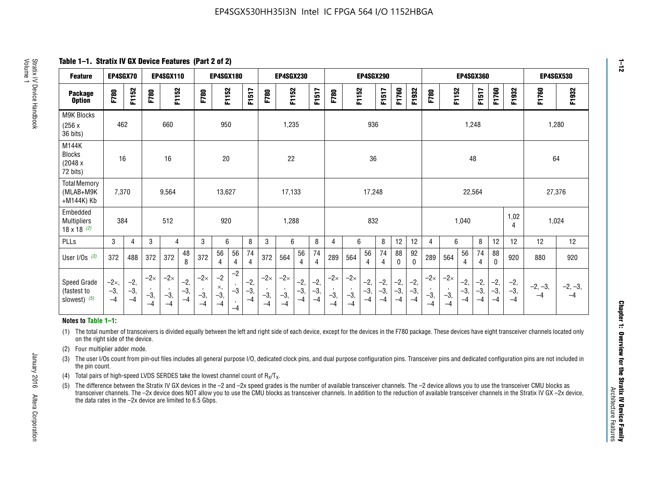**Table 1–1. Stratix IV GX Device Features (Part 2 of 2)**

| <b>Feature</b>                                       | EP4SGX70                |                        |                             | <b>EP4SGX110</b>            |                      |                             | <b>EP4SGX180</b>          |                      |                        |                             | <b>EP4SGX230</b>            |                      |                      |                            |                             | EP4SGX290              |                      |                      |                        |                             |                             |                        | <b>EP4SGX360</b>      |                      |                        | <b>EP4SGX530</b>  |                 |
|------------------------------------------------------|-------------------------|------------------------|-----------------------------|-----------------------------|----------------------|-----------------------------|---------------------------|----------------------|------------------------|-----------------------------|-----------------------------|----------------------|----------------------|----------------------------|-----------------------------|------------------------|----------------------|----------------------|------------------------|-----------------------------|-----------------------------|------------------------|-----------------------|----------------------|------------------------|-------------------|-----------------|
| <b>Package</b><br><b>Option</b>                      | F780                    | F1152                  | F780                        | F1152                       |                      | F780                        | F1152                     |                      | F1517                  | F780                        | F1152                       |                      | F1517                | F780                       | F1152                       |                        | F1517                | F1760                | F1932                  | F780                        | F1152                       |                        | F1517                 | F1760                | F1932                  | F1760             | F1932           |
| M9K Blocks<br>(256x)<br>36 bits)                     | 462                     |                        |                             | 660                         |                      |                             | 950                       |                      |                        |                             | 1,235                       |                      |                      |                            |                             | 936                    |                      |                      |                        |                             |                             | 1,248                  |                       |                      |                        |                   | 1,280           |
| M144K<br><b>Blocks</b><br>(2048 x<br>72 bits)        | 16                      |                        |                             | 16                          |                      |                             | 20                        |                      |                        |                             | 22                          |                      |                      |                            |                             | 36                     |                      |                      |                        |                             |                             | 48                     |                       |                      |                        | 64                |                 |
| <b>Total Memory</b><br>(MLAB+M9K<br>+M144K) Kb       | 7,370                   |                        |                             | 9,564                       |                      |                             | 13,627                    |                      |                        |                             | 17,133                      |                      |                      |                            |                             | 17,248                 |                      |                      |                        |                             |                             | 22,564                 |                       |                      |                        | 27,376            |                 |
| Embedded<br><b>Multipliers</b><br>$18 \times 18$ (2) | 384                     |                        |                             | 512                         |                      |                             | 920                       |                      |                        |                             | 1,288                       |                      |                      |                            |                             | 832                    |                      |                      |                        |                             |                             | 1,040                  |                       |                      | 1,02<br>4              | 1,024             |                 |
| PLLs                                                 | 3                       | $\overline{4}$         | 3                           | 4                           |                      | 3                           | 6                         |                      | 8                      | 3                           | 6                           |                      | 8                    | 4                          | 6                           |                        | 8                    | 12                   | 12                     | 4                           | 6                           |                        | 8                     | 12                   | 12                     | 12                | 12              |
| User $I/Os$ (3)                                      | 372                     | 488                    | 372                         | 372                         | 48<br>8              | 372                         | 56<br>4                   | 56<br>4              | 74<br>4                | 372                         | 564                         | 56<br>$\overline{4}$ | 74<br>$\overline{4}$ | 289                        | 564                         | 56<br>4                | 74<br>4              | 88<br>0              | 92<br>$\mathbf 0$      | 289                         | 564                         | 56<br>4                | 74<br>4               | 88<br>$\mathbf{0}$   | 920                    | 880               | 920             |
| Speed Grade<br>(fastest to<br>slowest) (5)           | $-2x,$<br>$-3,$<br>$-4$ | $-2,$<br>$-3,$<br>$-4$ | $-2\times$<br>$-3,$<br>$-4$ | $-2\times$<br>$-3,$<br>$-4$ | $-2,$<br>-3,<br>$-4$ | $-2\times$<br>$-3,$<br>$-4$ | $-2$<br>×,<br>$-3,$<br>-4 | $-2$<br>$-3$<br>$-4$ | $-2,$<br>$-3,$<br>$-4$ | $-2\times$<br>$-3,$<br>$-4$ | $-2\times$<br>$-3,$<br>$-4$ | $-2,$<br>-3,<br>$-4$ | $-2,$<br>-3,<br>$-4$ | $-2\times$<br>$-3$<br>$-4$ | $-2\times$<br>$-3,$<br>$-4$ | $-2,$<br>$-3,$<br>$-4$ | $-2,$<br>-3,<br>$-4$ | $-2,$<br>-3,<br>$-4$ | $-2,$<br>$-3,$<br>$-4$ | $-2\times$<br>$-3,$<br>$-4$ | $-2\times$<br>$-3,$<br>$-4$ | $-2,$<br>$-3,$<br>$-4$ | $-2,$<br>$-3$<br>$-4$ | $-2,$<br>-3,<br>$-4$ | $-2,$<br>$-3,$<br>$-4$ | $-2, -3,$<br>$-4$ | $-2, -3,$<br>-4 |

#### **Notes to Table 1–1:**

(1) The total number of transceivers is divided equally between the left and right side of each device, except for the devices in the F780 package. These devices have eight transceiver channels located only on the right side of the device.

- (2) Four multiplier adder mode.
- (3) The user I/Os count from pin-out files includes all general purpose I/O, dedicated clock pins, and dual purpose configuration pins. Transceiver pins and dedicated configuration pins are not included in the pin count.
- (4) Total pairs of high-speed LVDS SERDES take the lowest channel count of  $R_X/T_X$ .
- (5) The difference between the Stratix IV GX devices in the –2 and –2x speed grades is the number of available transceiver channels. The –2 device allows you to use the transceiver CMU blocks as transceiver channels. The –2x device does NOT allow you to use the CMU blocks as transceiver channels. In addition to the reduction of available transceiver channels in the Stratix IV GX –2x device, the data rates in the –2x device are limited to 6.5 Gbps.

**1–12**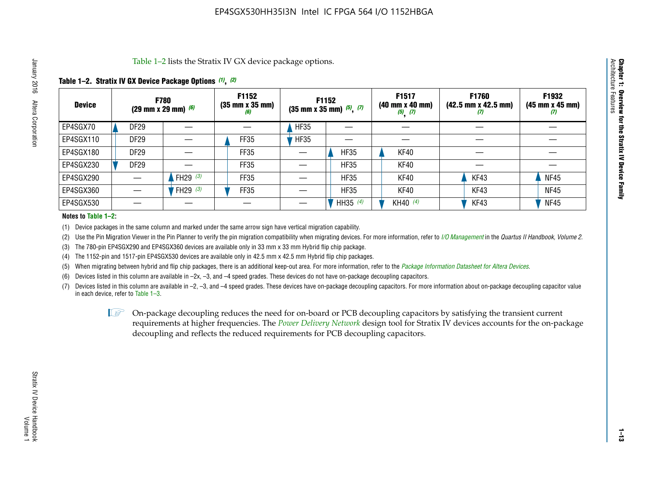Table 1–2 lists the Stratix IV GX device package options.

#### **Table 1–2. Stratix IV GX Device Package Options** *(1)***,** *(2)*

| <b>Device</b> | (29 mm x 29 mm) $(6)$ | <b>F780</b>          | F1152<br>$(35 \, \text{mm} \times 35 \, \text{mm})$<br>(6) |             | <b>F1152</b><br>$(35$ mm x 35 mm) $(5)$ , $(7)$ | F1517<br>(40 mm x 40 mm)<br>$(5)$ $(7)$ | <b>F1760</b><br>$(42.5 \text{ mm} \times 42.5 \text{ mm})$<br>W | F1932<br>$(45 \, \text{mm} \times 45 \, \text{mm})$<br>$\boldsymbol{v}$ |
|---------------|-----------------------|----------------------|------------------------------------------------------------|-------------|-------------------------------------------------|-----------------------------------------|-----------------------------------------------------------------|-------------------------------------------------------------------------|
| EP4SGX70      | DF <sub>29</sub>      |                      |                                                            | <b>HF35</b> |                                                 |                                         |                                                                 |                                                                         |
| EP4SGX110     | <b>DF29</b>           |                      | FF35                                                       | <b>HF35</b> |                                                 |                                         |                                                                 |                                                                         |
| EP4SGX180     | DF29                  |                      | FF35                                                       |             | <b>HF35</b>                                     | KF40                                    |                                                                 |                                                                         |
| EP4SGX230     | <b>DF29</b>           |                      | FF35                                                       |             | <b>HF35</b>                                     | KF40                                    |                                                                 |                                                                         |
| EP4SGX290     |                       | FH29 $(3)$           | FF35                                                       |             | <b>HF35</b>                                     | KF40                                    | KF43                                                            | <b>NF45</b>                                                             |
| EP4SGX360     |                       | 'FH29 <sup>(3)</sup> | FF35                                                       |             | <b>HF35</b>                                     | KF40                                    | KF43                                                            | <b>NF45</b>                                                             |
| EP4SGX530     |                       |                      |                                                            |             | HH35 $(4)$                                      | KH40 (4)                                | KF43                                                            | <b>NF45</b>                                                             |

#### **Notes to Table 1–2:**

(1) Device packages in the same column and marked under the same arrow sign have vertical migration capability.

(2) Use the Pin Migration Viewer in the Pin Planner to verify the pin migration compatibility when migrating devices. For more information, refer to *[I/O Management](http://www.altera.com/literature/hb/qts/qts_qii52013.pdf)* in the *Quartus II Handbook, Volume 2*.

(3) The 780-pin EP4SGX290 and EP4SGX360 devices are available only in 33 mm x 33 mm Hybrid flip chip package.

(4) The 1152-pin and 1517-pin EP4SGX530 devices are available only in 42.5 mm x 42.5 mm Hybrid flip chip packages.

(5) When migrating between hybrid and flip chip packages, there is an additional keep-out area. For more information, refer to the *[Package Information Datasheet for Altera Devices](http://www.altera.com/literature/ds/dspkg.pdf)*.

(6) Devices listed in this column are available in –2x, –3, and –4 speed grades. These devices do not have on-package decoupling capacitors.

(7) Devices listed in this column are available in –2, –3, and –4 speed grades. These devices have on-package decoupling capacitors. For more information about on-package decoupling capacitor value in each device, refer to Table 1–3.

 $\mathbb{L}$ s On-package decoupling reduces the need for on-board or PCB decoupling capacitors by satisfying the transient current requirements at higher frequencies. The *[Power Delivery Network](http://www.altera.com/literature/ug/pdn_tool_stxiv.zip)* design tool for Stratix IV devices accounts for the on-package decoupling and reflects the reduced requirements for PCB decoupling capacitors.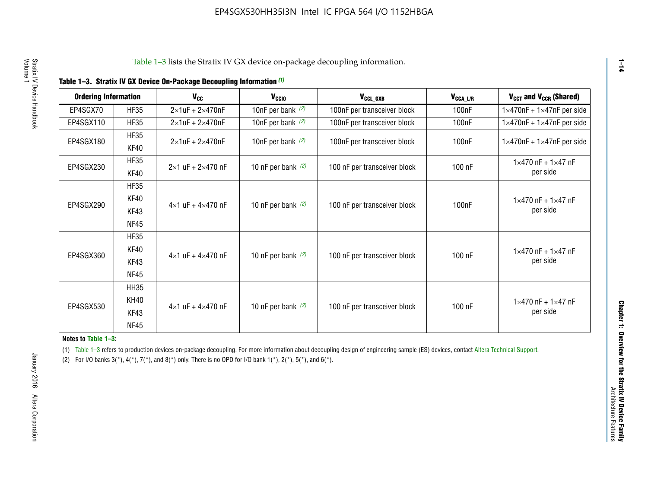|  |  |  | Table 1-3. Stratix IV GX Device On-Package Decoupling Information (1) |
|--|--|--|-----------------------------------------------------------------------|
|--|--|--|-----------------------------------------------------------------------|

| <b>Ordering Information</b> |                            | <b>V<sub>cc</sub></b>               | V <sub>ccio</sub>    | V <sub>CCL GXB</sub>         | V <sub>CCA_L/R</sub> | V <sub>CCT</sub> and V <sub>CCR</sub> (Shared)   |
|-----------------------------|----------------------------|-------------------------------------|----------------------|------------------------------|----------------------|--------------------------------------------------|
| EP4SGX70                    | <b>HF35</b>                | $2\times1$ uF + $2\times470$ nF     | 10nF per bank $(2)$  | 100nF per transceiver block  | 100 <sub>n</sub> F   | $1 \times 470$ nF + $1 \times 47$ nF per side    |
| EP4SGX110                   | <b>HF35</b>                | $2\times1$ uF + $2\times470$ nF     | 10nF per bank $(2)$  | 100nF per transceiver block  | 100 <sub>n</sub> F   | $1\times470$ nF + $1\times47$ nF per side        |
| EP4SGX180                   | <b>HF35</b><br>KF40        | $2\times1$ uF + $2\times470$ nF     | 10nF per bank $(2)$  | 100nF per transceiver block  | 100 <sub>nF</sub>    | $1 \times 470$ nF + $1 \times 47$ nF per side    |
| EP4SGX230                   | <b>HF35</b><br>KF40        | $2 \times 1$ uF + $2 \times 470$ nF | 10 nF per bank $(2)$ | 100 nF per transceiver block | 100 nF               | $1 \times 470$ nF + $1 \times 47$ nF<br>per side |
|                             | <b>HF35</b><br><b>KF40</b> |                                     |                      |                              |                      | $1 \times 470$ nF + $1 \times 47$ nF             |
| EP4SGX290                   | KF43<br><b>NF45</b>        | $4 \times 1$ uF + $4 \times 470$ nF | 10 nF per bank $(2)$ | 100 nF per transceiver block | 100nF                | per side                                         |
|                             | <b>HF35</b><br>KF40        |                                     |                      |                              |                      | $1 \times 470$ nF + $1 \times 47$ nF             |
| EP4SGX360                   | KF43<br><b>NF45</b>        | $4 \times 1$ uF + $4 \times 470$ nF | 10 nF per bank $(2)$ | 100 nF per transceiver block | 100 nF               | per side                                         |
|                             | <b>HH35</b>                |                                     |                      |                              |                      |                                                  |
| EP4SGX530                   | <b>KH40</b><br>KF43        | $4 \times 1$ uF + $4 \times 470$ nF | 10 nF per bank $(2)$ | 100 nF per transceiver block | 100 nF               | $1 \times 470$ nF + $1 \times 47$ nF<br>per side |
|                             | <b>NF45</b>                |                                     |                      |                              |                      |                                                  |

**Notes to Table 1–3:**

(1) Table 1-3 refers to production devices on-package decoupling. For more information about decoupling design of engineering sample (ES) devices, contact [Altera Technical Support](http://mysupport.altera.com/eservice/login.asp).

(2) For I/O banks  $3(*)$ ,  $4(*)$ ,  $7(*)$ , and  $8(*)$  only. There is no OPD for I/O bank  $1(*)$ ,  $2(*)$ ,  $5(*)$ , and  $6(*)$ .

**1–14**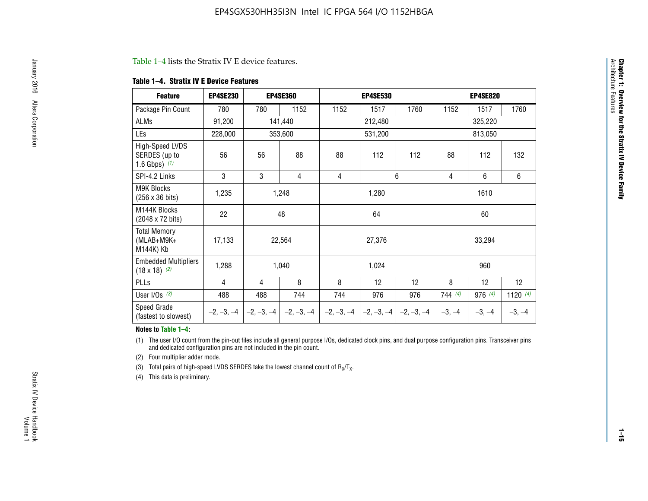#### Table 1–4 lists the Stratix IV E device features.

#### **Table 1–4. Stratix IV E Device Features**

| <b>Feature</b>                                      | <b>EP4SE230</b> |     | <b>EP4SE360</b>                          |              | <b>EP4SE530</b> |              |          | <b>EP4SE820</b>                                                    |            |  |
|-----------------------------------------------------|-----------------|-----|------------------------------------------|--------------|-----------------|--------------|----------|--------------------------------------------------------------------|------------|--|
| Package Pin Count                                   | 780             | 780 | 1152                                     | 1152         | 1517            | 1760         | 1152     | 1517                                                               | 1760       |  |
| ALMs                                                | 91,200          |     | 141,440                                  |              | 212,480         |              |          | 325,220<br>813,050<br>112<br>6<br>6<br>1610<br>60<br>33,294<br>960 |            |  |
| LEs                                                 | 228,000         |     | 353,600                                  |              | 531,200         |              |          |                                                                    |            |  |
| High-Speed LVDS<br>SERDES (up to<br>1.6 Gbps) $(1)$ | 56              | 56  | 88                                       | 88           | 112             | 112          | 88       |                                                                    | 132        |  |
| SPI-4.2 Links                                       | 3               | 3   | 4                                        | 4            |                 | 6            | 4        |                                                                    |            |  |
| <b>M9K Blocks</b><br>(256 x 36 bits)                | 1,235           |     | 1,248                                    |              | 1,280           |              |          |                                                                    |            |  |
| M144K Blocks<br>(2048 x 72 bits)                    | 22              |     | 48                                       |              | 64              |              |          |                                                                    |            |  |
| <b>Total Memory</b><br>$(MLAB+M9K+$<br>M144K) Kb    | 17,133          |     | 22,564                                   |              | 27,376          |              |          |                                                                    |            |  |
| <b>Embedded Multipliers</b><br>$(18 \times 18)$ (2) | 1,288           |     | 1,040                                    |              | 1,024           |              |          |                                                                    |            |  |
| PLLs                                                | 4               | 4   | 8                                        | 8            | 12              | 12           | 8        | 12                                                                 | 12         |  |
| User I/Os $(3)$                                     | 488             | 488 | 744                                      | 744          | 976             | 976          | 744(4)   | $976$ (4)                                                          | 1120 $(4)$ |  |
| Speed Grade<br>(fastest to slowest)                 |                 |     | $-2, -3, -4$ $ -2, -3, -4$ $ -2, -3, -4$ | $-2, -3, -4$ | $-2, -3, -4$    | $-2, -3, -4$ | $-3, -4$ | $-3, -4$                                                           | $-3, -4$   |  |

#### **Notes to Table 1–4:**

(1) The user I/O count from the pin-out files include all general purpose I/Os, dedicated clock pins, and dual purpose configuration pins. Transceiver pins and dedicated configuration pins are not included in the pin count.

(2) Four multiplier adder mode.

(3) Total pairs of high-speed LVDS SERDES take the lowest channel count of  $R_X/T_X$ .

(4) This data is preliminary.

**Chapter 1: Overview for the Stratix IV Device Family**

**Chapter 1: Overview for the Stratix IV Device Family**<br>Architecture Faatures

Architecture Features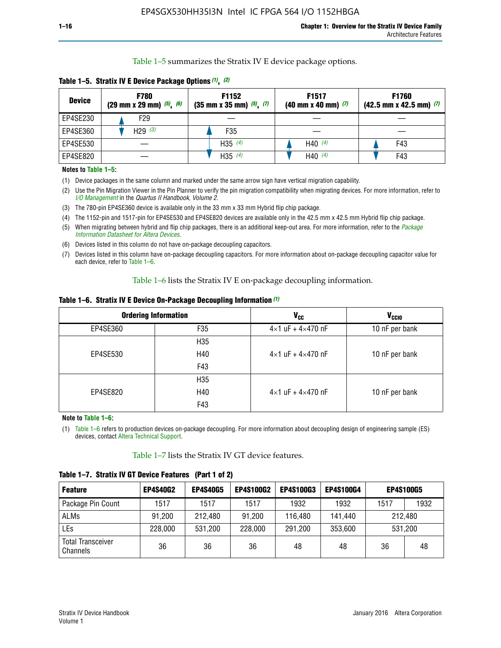Table 1–5 summarizes the Stratix IV E device package options.

| <b>Device</b> | <b>F780</b><br>$(29 \text{ mm} \times 29 \text{ mm})$ $(5)$ , $(6)$ | F1152<br>$(35 \text{ mm} \times 35 \text{ mm})$ $(5)$ $(7)$ | F <sub>1517</sub><br>$(40 \text{ mm} \times 40 \text{ mm})$ (7) | <b>F1760</b><br>$(42.5$ mm x 42.5 mm) $(7)$ |  |  |
|---------------|---------------------------------------------------------------------|-------------------------------------------------------------|-----------------------------------------------------------------|---------------------------------------------|--|--|
| EP4SE230      | F <sub>29</sub>                                                     |                                                             |                                                                 |                                             |  |  |
| EP4SE360      | H29 $(3)$                                                           | F35                                                         |                                                                 |                                             |  |  |
| EP4SE530      |                                                                     | H35 $(4)$                                                   | H40 $(4)$                                                       | F43                                         |  |  |
| EP4SE820      |                                                                     | H35 $(4)$                                                   | H40 $(4)$                                                       | F43                                         |  |  |

**Table 1–5. Stratix IV E Device Package Options** *(1)***,** *(2)*

#### **Notes to Table 1–5:**

(1) Device packages in the same column and marked under the same arrow sign have vertical migration capability.

(2) Use the Pin Migration Viewer in the Pin Planner to verify the pin migration compatibility when migrating devices. For more information, refer to *[I/O Management](http://www.altera.com/literature/hb/qts/qts_qii52013.pdf)* in the *Quartus II Handbook, Volume 2*.

(3) The 780-pin EP4SE360 device is available only in the 33 mm x 33 mm Hybrid flip chip package.

(4) The 1152-pin and 1517-pin for EP4SE530 and EP4SE820 devices are available only in the 42.5 mm x 42.5 mm Hybrid flip chip package.

(5) When migrating between hybrid and flip chip packages, there is an additional keep-out area. For more information, refer to the *[Package](http://www.altera.com/literature/ds/dspkg.pdf)  [Information Datasheet for Altera Devices](http://www.altera.com/literature/ds/dspkg.pdf)*.

(6) Devices listed in this column do not have on-package decoupling capacitors.

(7) Devices listed in this column have on-package decoupling capacitors. For more information about on-package decoupling capacitor value for each device, refer to Table 1–6.

Table 1–6 lists the Stratix IV E on-package decoupling information.

| Table 1–6. Stratix IV E Device On-Package Decoupling Information (1) |  |  |  |  |  |
|----------------------------------------------------------------------|--|--|--|--|--|
|----------------------------------------------------------------------|--|--|--|--|--|

|          | <b>Ordering Information</b> | <b>V<sub>cc</sub></b>               | <b>V<sub>CCIO</sub></b> |
|----------|-----------------------------|-------------------------------------|-------------------------|
| EP4SE360 | F35                         | $4 \times 1$ uF + $4 \times 470$ nF | 10 nF per bank          |
|          | H <sub>35</sub>             |                                     |                         |
| EP4SE530 | H40                         | $4 \times 1$ uF + $4 \times 470$ nF | 10 nF per bank          |
|          | F43                         |                                     |                         |
|          | H <sub>35</sub>             |                                     |                         |
| EP4SE820 | H40                         | $4 \times 1$ uF + $4 \times 470$ nF | 10 nF per bank          |
|          | F43                         |                                     |                         |

**Note to Table 1–6:**

(1) Table 1–6 refers to production devices on-package decoupling. For more information about decoupling design of engineering sample (ES) devices, contact [Altera Technical Support](http://mysupport.altera.com/eservice/login.asp).

Table 1–7 lists the Stratix IV GT device features.

| <b>Feature</b>                       | <b>EP4S40G2</b> | <b>EP4S40G5</b> | <b>EP4S100G2</b> | <b>EP4S100G3</b> | <b>EP4S100G4</b> |      | <b>EP4S100G5</b> |
|--------------------------------------|-----------------|-----------------|------------------|------------------|------------------|------|------------------|
| Package Pin Count                    | 1517            | 1517            | 1517             | 1932             | 1932             | 1517 | 1932             |
| <b>ALMs</b>                          | 91,200          | 212,480         | 91,200           | 116,480          | 141,440          |      | 212.480          |
| LEs                                  | 228,000         | 531,200         | 228,000          | 291,200          | 353,600          |      | 531,200          |
| <b>Total Transceiver</b><br>Channels | 36              | 36              | 36               | 48               | 48               | 36   | 48               |

**Table 1–7. Stratix IV GT Device Features (Part 1 of 2)**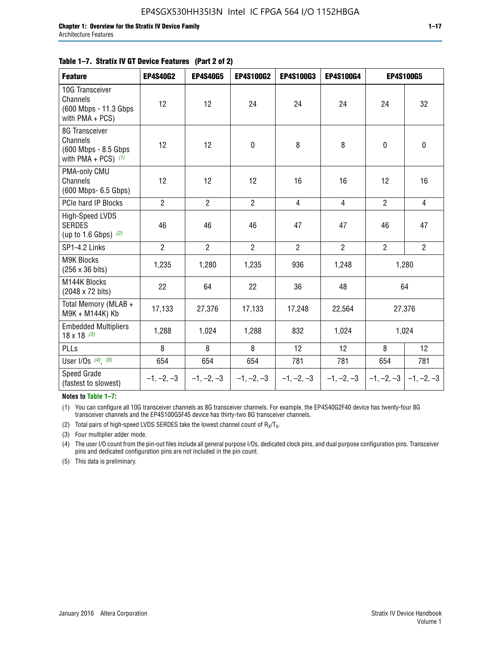| <b>Feature</b>                                                               | <b>EP4S40G2</b> | <b>EP4S40G5</b> | <b>EP4S100G2</b> | <b>EP4S100G3</b> | <b>EP4S100G4</b> |                           | <b>EP4S100G5</b> |
|------------------------------------------------------------------------------|-----------------|-----------------|------------------|------------------|------------------|---------------------------|------------------|
| 10G Transceiver<br>Channels<br>(600 Mbps - 11.3 Gbps<br>with PMA + PCS)      | 12              | 12              | 24               | 24               | 24               | 24                        | 32               |
| 8G Transceiver<br>Channels<br>(600 Mbps - 8.5 Gbps)<br>with PMA + PCS) $(1)$ | 12              | 12              | $\pmb{0}$        | 8                | 8                | $\mathbf 0$               | $\mathbf 0$      |
| PMA-only CMU<br>Channels<br>(600 Mbps- 6.5 Gbps)                             | 12              | 12              | 12               | 16               | 16               | 12                        | 16               |
| PCIe hard IP Blocks                                                          | $\overline{2}$  | $\overline{2}$  | $\overline{2}$   | 4                | $\overline{4}$   | $\overline{2}$            | $\overline{4}$   |
| High-Speed LVDS<br><b>SERDES</b><br>(up to 1.6 Gbps) $(2)$                   | 46              | 46              | 46               | 47               | 47               | 46                        | 47               |
| SP1-4.2 Links                                                                | $\overline{2}$  | $\overline{2}$  | $\overline{2}$   | $\overline{2}$   | $\overline{2}$   | $\overline{2}$            | $\overline{2}$   |
| <b>M9K Blocks</b><br>(256 x 36 bits)                                         | 1,235           | 1,280           | 1,235            | 936              | 1,248            |                           | 1,280            |
| M144K Blocks<br>(2048 x 72 bits)                                             | 22              | 64              | 22               | 36               | 48               |                           | 64               |
| Total Memory (MLAB +<br>M9K + M144K) Kb                                      | 17,133          | 27,376          | 17,133           | 17,248           | 22,564           |                           | 27,376           |
| <b>Embedded Multipliers</b><br>$18 \times 18^{(3)}$                          | 1,288           | 1,024           | 1,288            | 832              | 1,024            |                           | 1,024            |
| PLLs                                                                         | 8               | 8               | 8                | 12               | 12               | 8                         | 12               |
| User I/Os $(4)$ , $(5)$                                                      | 654             | 654             | 654              | 781              | 781              | 654                       | 781              |
| Speed Grade<br>(fastest to slowest)                                          | $-1, -2, -3$    | $-1, -2, -3$    | $-1, -2, -3$     | $-1, -2, -3$     | $-1, -2, -3$     | $-1, -2, -3$ $-1, -2, -3$ |                  |

**Notes to Table 1–7:**

(1) You can configure all 10G transceiver channels as 8G transceiver channels. For example, the EP4S40G2F40 device has twenty-four 8G transceiver channels and the EP4S100G5F45 device has thirty-two 8G transceiver channels.

(2) Total pairs of high-speed LVDS SERDES take the lowest channel count of  $R_X/T_X$ .

(3) Four multiplier adder mode.

(4) The user I/O count from the pin-out files include all general purpose I/Os, dedicated clock pins, and dual purpose configuration pins. Transceiver pins and dedicated configuration pins are not included in the pin count.

(5) This data is preliminary.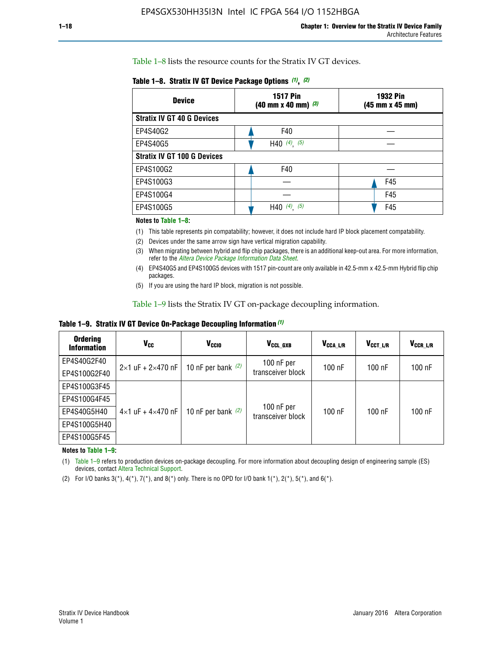Table 1–8 lists the resource counts for the Stratix IV GT devices.

|  | Table 1-8. Stratix IV GT Device Package Options (1), (2) |  |  |  |  |  |
|--|----------------------------------------------------------|--|--|--|--|--|
|--|----------------------------------------------------------|--|--|--|--|--|

| <b>Device</b>                      | <b>1517 Pin</b><br><b>1932 Pin</b><br>$(40 \text{ mm} \times 40 \text{ mm})$ $(3)$<br>(45 mm x 45 mm) |     |  |
|------------------------------------|-------------------------------------------------------------------------------------------------------|-----|--|
| <b>Stratix IV GT 40 G Devices</b>  |                                                                                                       |     |  |
| EP4S40G2                           | F40                                                                                                   |     |  |
| EP4S40G5                           | H40 $(4)$ , $(5)$                                                                                     |     |  |
| <b>Stratix IV GT 100 G Devices</b> |                                                                                                       |     |  |
| EP4S100G2                          | F40                                                                                                   |     |  |
| EP4S100G3                          |                                                                                                       | F45 |  |
| EP4S100G4                          |                                                                                                       | F45 |  |
| EP4S100G5                          | (5)<br>$(4)$ ,<br>H40                                                                                 | F45 |  |

#### **Notes to Table 1–8:**

(1) This table represents pin compatability; however, it does not include hard IP block placement compatability.

- (2) Devices under the same arrow sign have vertical migration capability.
- (3) When migrating between hybrid and flip chip packages, there is an additional keep-out area. For more information, refer to the *[Altera Device Package Information Data Sheet](http://www.altera.com/literature/ds/dspkg.pdf)*.
- (4) EP4S40G5 and EP4S100G5 devices with 1517 pin-count are only available in 42.5-mm x 42.5-mm Hybrid flip chip packages.
- (5) If you are using the hard IP block, migration is not possible.

Table 1–9 lists the Stratix IV GT on-package decoupling information.

**Table 1–9. Stratix IV GT Device On-Package Decoupling Information** *(1)*

| <b>Ordering</b><br><b>Information</b> | Vcc                                 | <b>V<sub>CCIO</sub></b> | V <sub>CCL GXB</sub>            | V <sub>CCA L/R</sub> | V <sub>CCT L/R</sub> | $V_{CCR\_L/R}$ |
|---------------------------------------|-------------------------------------|-------------------------|---------------------------------|----------------------|----------------------|----------------|
| EP4S40G2F40                           | $2 \times 1$ uF + $2 \times 470$ nF | 10 nF per bank $(2)$    | 100 nF per<br>transceiver block | $100$ nF             | $100$ nF             | 100 nF         |
| EP4S100G2F40                          |                                     |                         |                                 |                      |                      |                |
| EP4S100G3F45                          |                                     | 10 nF per bank $(2)$    | 100 nF per<br>transceiver block | $100$ nF             | $100$ nF             | $100$ nF       |
| EP4S100G4F45                          |                                     |                         |                                 |                      |                      |                |
| EP4S40G5H40                           | $4\times1$ uF + $4\times470$ nF     |                         |                                 |                      |                      |                |
| EP4S100G5H40                          |                                     |                         |                                 |                      |                      |                |
| EP4S100G5F45                          |                                     |                         |                                 |                      |                      |                |

**Notes to Table 1–9:**

(1) Table 1–9 refers to production devices on-package decoupling. For more information about decoupling design of engineering sample (ES) devices, contact [Altera Technical Support](http://mysupport.altera.com/eservice/login.asp).

(2) For I/O banks  $3(*)$ ,  $4(*)$ ,  $7(*)$ , and  $8(*)$  only. There is no OPD for I/O bank  $1(*)$ ,  $2(*)$ ,  $5(*)$ , and  $6(*)$ .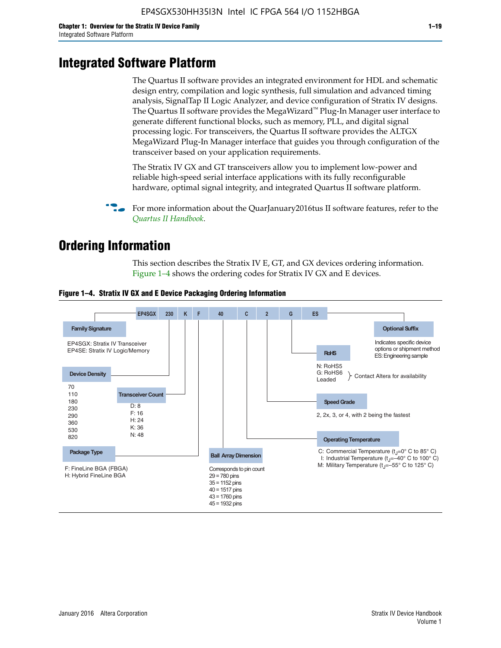# **Integrated Software Platform**

The Quartus II software provides an integrated environment for HDL and schematic design entry, compilation and logic synthesis, full simulation and advanced timing analysis, SignalTap II Logic Analyzer, and device configuration of Stratix IV designs. The Quartus II software provides the MegaWizard<sup> $M$ </sup> Plug-In Manager user interface to generate different functional blocks, such as memory, PLL, and digital signal processing logic. For transceivers, the Quartus II software provides the ALTGX MegaWizard Plug-In Manager interface that guides you through configuration of the transceiver based on your application requirements.

The Stratix IV GX and GT transceivers allow you to implement low-power and reliable high-speed serial interface applications with its fully reconfigurable hardware, optimal signal integrity, and integrated Quartus II software platform.

For more information about the QuarJanuary2016tus II software features, refer to the *[Quartus II Handbook](http://www.altera.com/literature/lit-qts.jsp)*.

# **Ordering Information**

This section describes the Stratix IV E, GT, and GX devices ordering information. Figure 1–4 shows the ordering codes for Stratix IV GX and E devices.



#### **Figure 1–4. Stratix IV GX and E Device Packaging Ordering Information**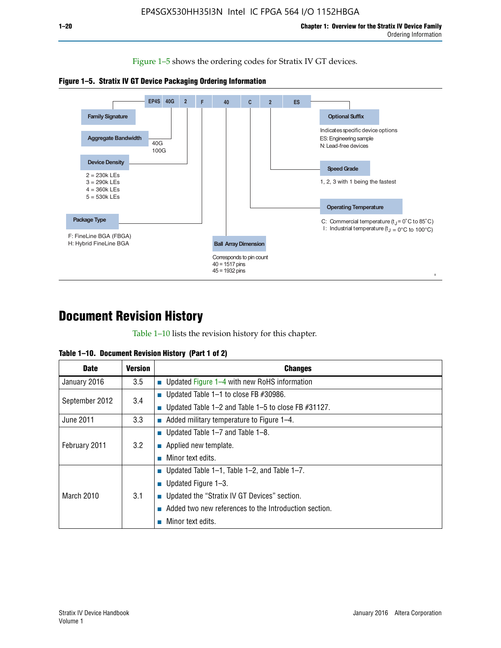Figure 1–5 shows the ordering codes for Stratix IV GT devices.





# **Document Revision History**

Table 1–10 lists the revision history for this chapter.

| Table 1–10. Document Revision History (Part 1 of 2) |  |  |  |  |  |
|-----------------------------------------------------|--|--|--|--|--|
|-----------------------------------------------------|--|--|--|--|--|

| <b>Date</b>       | Version | <b>Changes</b>                                         |
|-------------------|---------|--------------------------------------------------------|
| January 2016      | 3.5     | <b>Updated Figure 1–4 with new RoHS information</b>    |
| September 2012    | 3.4     | ■ Updated Table 1–1 to close FB $#30986$ .             |
|                   |         | Updated Table 1–2 and Table 1–5 to close FB $#31127$ . |
| June 2011         | 3.3     | Added military temperature to Figure 1–4.              |
| February 2011     | 3.2     | ■ Updated Table 1–7 and Table 1–8.                     |
|                   |         | $\blacksquare$ Applied new template.                   |
|                   |         | Minor text edits.                                      |
| <b>March 2010</b> |         | <b>Updated Table 1–1, Table 1–2, and Table 1–7.</b>    |
|                   | 3.1     | ■ Updated Figure $1-3$ .                               |
|                   |         | ■ Updated the "Stratix IV GT Devices" section.         |
|                   |         | Added two new references to the Introduction section.  |
|                   |         | Minor text edits.                                      |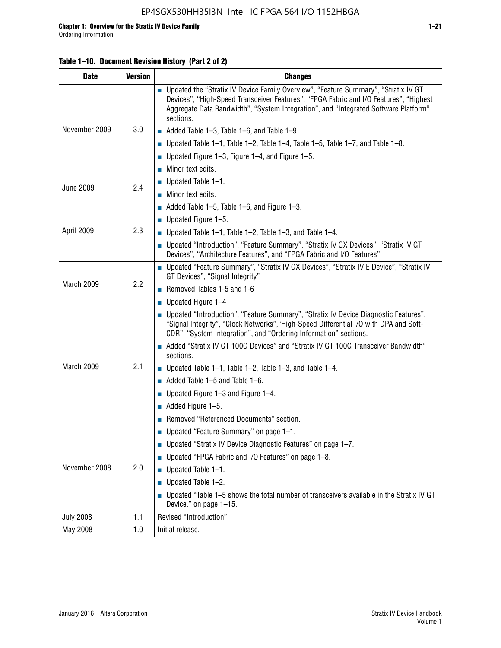#### **Table 1–10. Document Revision History (Part 2 of 2)**

| <b>Date</b>      | <b>Version</b> | <b>Changes</b>                                                                                                                                                                                                                                                                    |  |  |
|------------------|----------------|-----------------------------------------------------------------------------------------------------------------------------------------------------------------------------------------------------------------------------------------------------------------------------------|--|--|
|                  |                | ■ Updated the "Stratix IV Device Family Overview", "Feature Summary", "Stratix IV GT<br>Devices", "High-Speed Transceiver Features", "FPGA Fabric and I/O Features", "Highest<br>Aggregate Data Bandwidth", "System Integration", and "Integrated Software Platform"<br>sections. |  |  |
| November 2009    | 3.0            | $\blacksquare$ Added Table 1-3, Table 1-6, and Table 1-9.                                                                                                                                                                                                                         |  |  |
|                  |                | $\blacksquare$ Updated Table 1-1, Table 1-2, Table 1-4, Table 1-5, Table 1-7, and Table 1-8.                                                                                                                                                                                      |  |  |
|                  |                | ■ Updated Figure 1–3, Figure 1–4, and Figure 1–5.                                                                                                                                                                                                                                 |  |  |
|                  |                | $\blacksquare$ Minor text edits.                                                                                                                                                                                                                                                  |  |  |
| <b>June 2009</b> | 2.4            | $\blacksquare$ Updated Table 1-1.                                                                                                                                                                                                                                                 |  |  |
|                  |                | $\blacksquare$ Minor text edits.                                                                                                                                                                                                                                                  |  |  |
|                  |                | $\blacksquare$ Added Table 1–5, Table 1–6, and Figure 1–3.                                                                                                                                                                                                                        |  |  |
|                  |                | $\blacksquare$ Updated Figure 1-5.                                                                                                                                                                                                                                                |  |  |
| April 2009       | 2.3            | Updated Table $1-1$ , Table $1-2$ , Table $1-3$ , and Table $1-4$ .                                                                                                                                                                                                               |  |  |
|                  |                | ■ Updated "Introduction", "Feature Summary", "Stratix IV GX Devices", "Stratix IV GT<br>Devices", "Architecture Features", and "FPGA Fabric and I/O Features"                                                                                                                     |  |  |
|                  | 2.2            | ■ Updated "Feature Summary", "Stratix IV GX Devices", "Stratix IV E Device", "Stratix IV<br>GT Devices", "Signal Integrity"                                                                                                                                                       |  |  |
| March 2009       |                | Removed Tables 1-5 and 1-6                                                                                                                                                                                                                                                        |  |  |
|                  |                | $\blacksquare$ Updated Figure 1-4                                                                                                                                                                                                                                                 |  |  |
|                  |                | ■ Updated "Introduction", "Feature Summary", "Stratix IV Device Diagnostic Features",<br>"Signal Integrity", "Clock Networks", "High-Speed Differential I/O with DPA and Soft-<br>CDR", "System Integration", and "Ordering Information" sections.                                |  |  |
|                  |                | Added "Stratix IV GT 100G Devices" and "Stratix IV GT 100G Transceiver Bandwidth"<br>sections.                                                                                                                                                                                    |  |  |
| March 2009       | 2.1            | ■ Updated Table 1–1, Table 1–2, Table 1–3, and Table 1–4.                                                                                                                                                                                                                         |  |  |
|                  |                | $\blacksquare$ Added Table 1–5 and Table 1–6.                                                                                                                                                                                                                                     |  |  |
|                  |                | ■ Updated Figure 1–3 and Figure 1–4.                                                                                                                                                                                                                                              |  |  |
|                  |                | $\blacksquare$ Added Figure 1-5.                                                                                                                                                                                                                                                  |  |  |
|                  |                | Removed "Referenced Documents" section.                                                                                                                                                                                                                                           |  |  |
|                  | 2.0            | Updated "Feature Summary" on page 1-1.                                                                                                                                                                                                                                            |  |  |
| November 2008    |                | ■ Updated "Stratix IV Device Diagnostic Features" on page 1-7.                                                                                                                                                                                                                    |  |  |
|                  |                | Updated "FPGA Fabric and I/O Features" on page 1-8.                                                                                                                                                                                                                               |  |  |
|                  |                | $\blacksquare$ Updated Table 1-1.                                                                                                                                                                                                                                                 |  |  |
|                  |                | Updated Table 1-2.<br>П                                                                                                                                                                                                                                                           |  |  |
|                  |                | Updated "Table 1-5 shows the total number of transceivers available in the Stratix IV GT<br>Device." on page 1-15.                                                                                                                                                                |  |  |
| <b>July 2008</b> | 1.1            | Revised "Introduction".                                                                                                                                                                                                                                                           |  |  |
| May 2008         | 1.0            | Initial release.                                                                                                                                                                                                                                                                  |  |  |